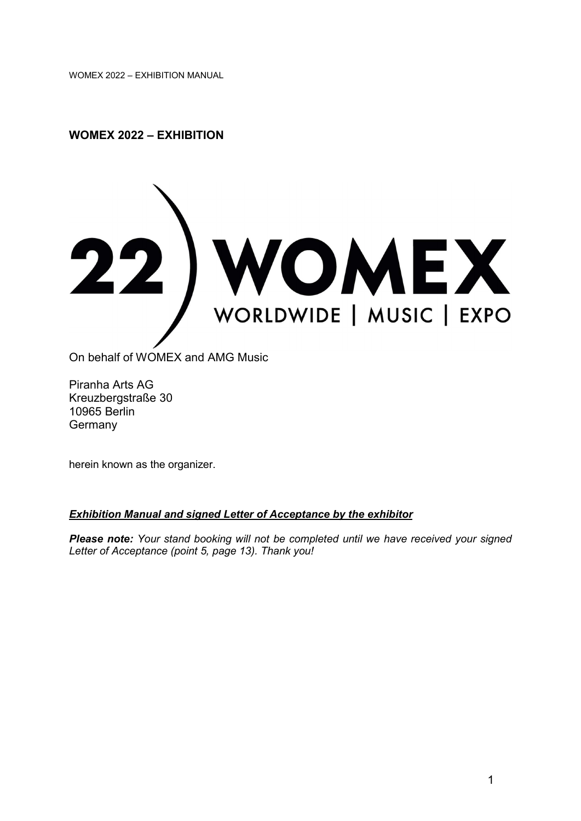### WOMEX 2022 – EXHIBITION



On behalf of WOMEX and AMG Music

Piranha Arts AG Kreuzbergstraße 30 10965 Berlin **Germany** 

herein known as the organizer.

#### Exhibition Manual and signed Letter of Acceptance by the exhibitor

Please note: Your stand booking will not be completed until we have received your signed Letter of Acceptance (point 5, page 13). Thank you!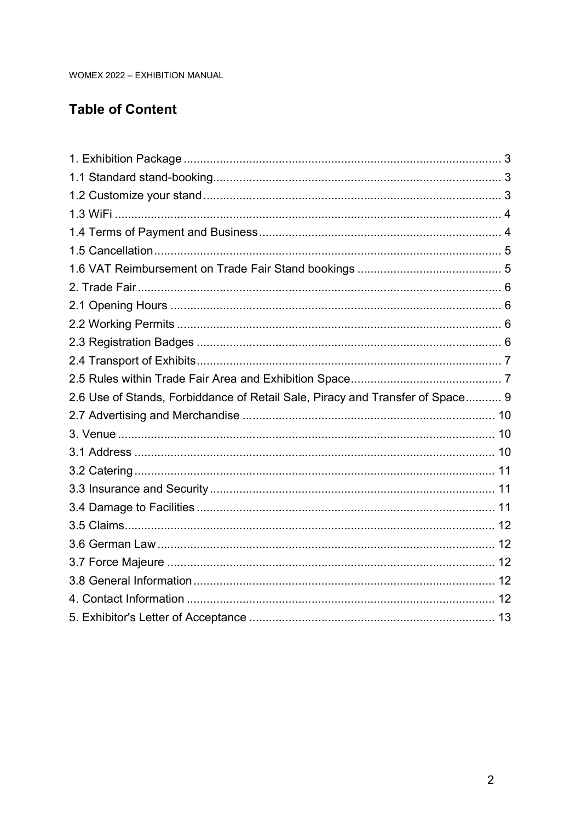# **Table of Content**

| 2.6 Use of Stands, Forbiddance of Retail Sale, Piracy and Transfer of Space 9 |  |
|-------------------------------------------------------------------------------|--|
|                                                                               |  |
|                                                                               |  |
|                                                                               |  |
|                                                                               |  |
|                                                                               |  |
|                                                                               |  |
|                                                                               |  |
|                                                                               |  |
|                                                                               |  |
|                                                                               |  |
|                                                                               |  |
|                                                                               |  |
|                                                                               |  |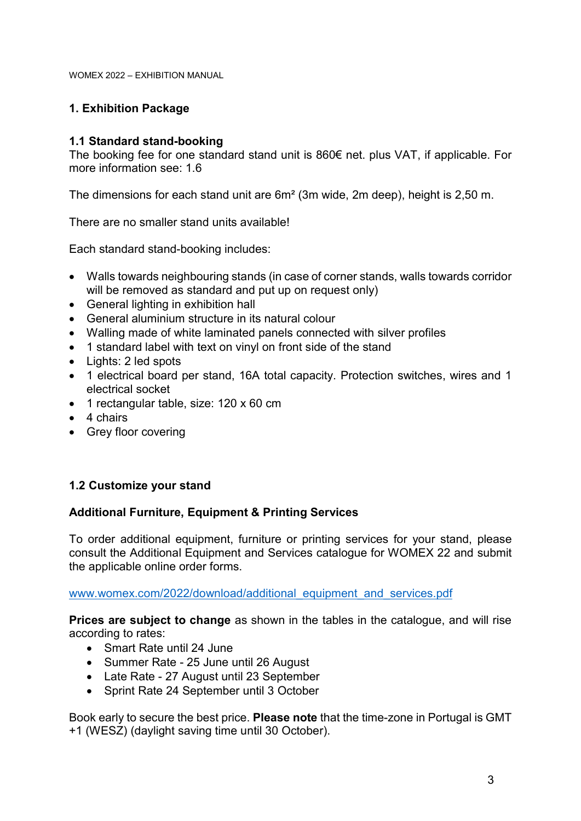# 1. Exhibition Package

### 1.1 Standard stand-booking

The booking fee for one standard stand unit is 860€ net. plus VAT, if applicable. For more information see: 1.6

The dimensions for each stand unit are 6m² (3m wide, 2m deep), height is 2,50 m.

There are no smaller stand units available!

Each standard stand-booking includes:

- Walls towards neighbouring stands (in case of corner stands, walls towards corridor will be removed as standard and put up on request only)
- General lighting in exhibition hall
- General aluminium structure in its natural colour
- Walling made of white laminated panels connected with silver profiles
- 1 standard label with text on vinyl on front side of the stand
- Lights: 2 led spots
- 1 electrical board per stand, 16A total capacity. Protection switches, wires and 1 electrical socket
- 1 rectangular table, size: 120 x 60 cm
- 4 chairs
- Grey floor covering

### 1.2 Customize your stand

#### Additional Furniture, Equipment & Printing Services

To order additional equipment, furniture or printing services for your stand, please consult the Additional Equipment and Services catalogue for WOMEX 22 and submit the applicable online order forms.

www.womex.com/2022/download/additional\_equipment\_and\_services.pdf

Prices are subject to change as shown in the tables in the catalogue, and will rise according to rates:

- Smart Rate until 24 June
- Summer Rate 25 June until 26 August
- Late Rate 27 August until 23 September
- Sprint Rate 24 September until 3 October

Book early to secure the best price. Please note that the time-zone in Portugal is GMT +1 (WESZ) (daylight saving time until 30 October).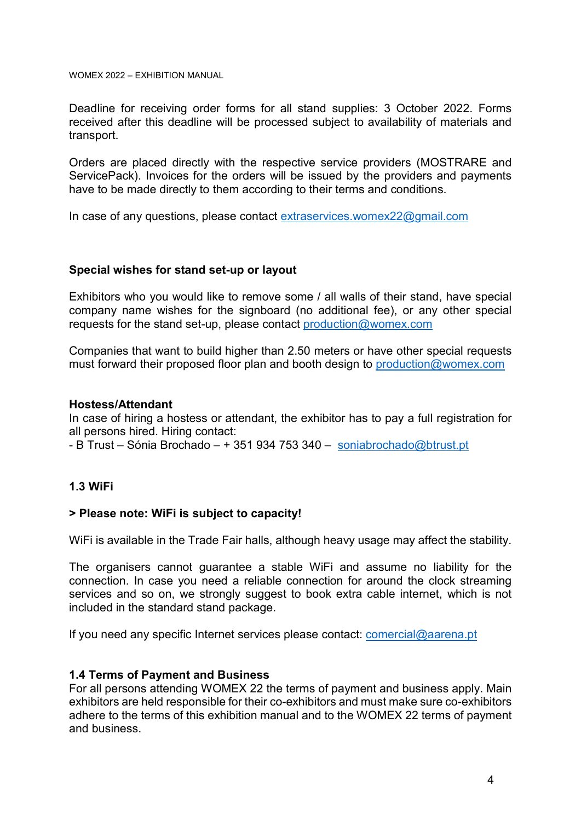Deadline for receiving order forms for all stand supplies: 3 October 2022. Forms received after this deadline will be processed subject to availability of materials and transport.

Orders are placed directly with the respective service providers (MOSTRARE and ServicePack). Invoices for the orders will be issued by the providers and payments have to be made directly to them according to their terms and conditions.

In case of any questions, please contact extraservices.womex22@gmail.com

#### Special wishes for stand set-up or layout

Exhibitors who you would like to remove some / all walls of their stand, have special company name wishes for the signboard (no additional fee), or any other special requests for the stand set-up, please contact production@womex.com

Companies that want to build higher than 2.50 meters or have other special requests must forward their proposed floor plan and booth design to production@womex.com

#### Hostess/Attendant

In case of hiring a hostess or attendant, the exhibitor has to pay a full registration for all persons hired. Hiring contact:

- B Trust – Sónia Brochado – + 351 934 753 340 – soniabrochado@btrust.pt

#### 1.3 WiFi

#### > Please note: WiFi is subject to capacity!

WiFi is available in the Trade Fair halls, although heavy usage may affect the stability.

The organisers cannot guarantee a stable WiFi and assume no liability for the connection. In case you need a reliable connection for around the clock streaming services and so on, we strongly suggest to book extra cable internet, which is not included in the standard stand package.

If you need any specific Internet services please contact: comercial@aarena.pt

#### 1.4 Terms of Payment and Business

For all persons attending WOMEX 22 the terms of payment and business apply. Main exhibitors are held responsible for their co-exhibitors and must make sure co-exhibitors adhere to the terms of this exhibition manual and to the WOMEX 22 terms of payment and business.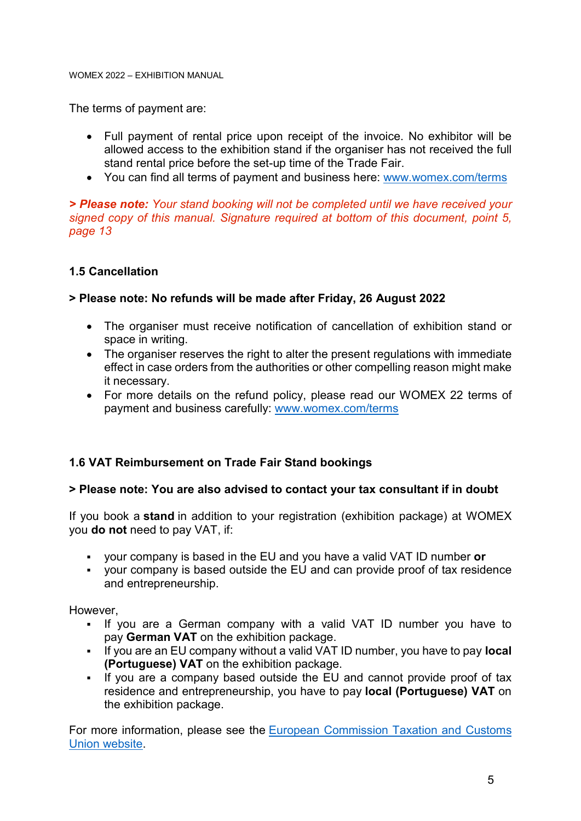The terms of payment are:

- Full payment of rental price upon receipt of the invoice. No exhibitor will be allowed access to the exhibition stand if the organiser has not received the full stand rental price before the set-up time of the Trade Fair.
- You can find all terms of payment and business here: www.womex.com/terms

> Please note: Your stand booking will not be completed until we have received your signed copy of this manual. Signature required at bottom of this document, point 5, page 13

#### 1.5 Cancellation

#### > Please note: No refunds will be made after Friday, 26 August 2022

- The organiser must receive notification of cancellation of exhibition stand or space in writing.
- The organiser reserves the right to alter the present regulations with immediate effect in case orders from the authorities or other compelling reason might make it necessary.
- For more details on the refund policy, please read our WOMEX 22 terms of payment and business carefully: www.womex.com/terms

### 1.6 VAT Reimbursement on Trade Fair Stand bookings

#### > Please note: You are also advised to contact your tax consultant if in doubt

If you book a stand in addition to your registration (exhibition package) at WOMEX you do not need to pay VAT, if:

- your company is based in the EU and you have a valid VAT ID number or
- your company is based outside the EU and can provide proof of tax residence and entrepreneurship.

However,

- If you are a German company with a valid VAT ID number you have to pay German VAT on the exhibition package.
- If you are an EU company without a valid VAT ID number, you have to pay local (Portuguese) VAT on the exhibition package.
- If you are a company based outside the EU and cannot provide proof of tax residence and entrepreneurship, you have to pay local (Portuguese) VAT on the exhibition package.

For more information, please see the European Commission Taxation and Customs Union website.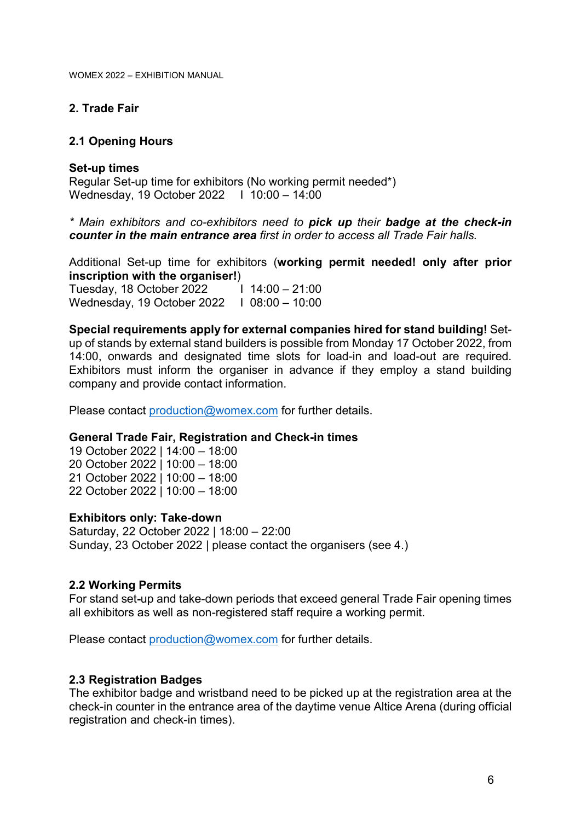### 2. Trade Fair

### 2.1 Opening Hours

### Set-up times

Regular Set-up time for exhibitors (No working permit needed\*) Wednesday, 19 October 2022 I 10:00 – 14:00

\* Main exhibitors and co-exhibitors need to pick up their badge at the check-in counter in the main entrance area first in order to access all Trade Fair halls.

Additional Set-up time for exhibitors (working permit needed! only after prior inscription with the organiser!)

Tuesday, 18 October 2022 Wednesday, 19 October 2022 I 08:00 – 10:00  $114:00 - 21:00$ 

Special requirements apply for external companies hired for stand building! Setup of stands by external stand builders is possible from Monday 17 October 2022, from 14:00, onwards and designated time slots for load-in and load-out are required. Exhibitors must inform the organiser in advance if they employ a stand building company and provide contact information.

Please contact production@womex.com for further details.

#### General Trade Fair, Registration and Check-in times

19 October 2022 | 14:00 – 18:00 20 October 2022 | 10:00 – 18:00 21 October 2022 | 10:00 – 18:00 22 October 2022 | 10:00 – 18:00

#### Exhibitors only: Take-down

Saturday, 22 October 2022 | 18:00 – 22:00 Sunday, 23 October 2022 | please contact the organisers (see 4.)

#### 2.2 Working Permits

For stand set-up and take-down periods that exceed general Trade Fair opening times all exhibitors as well as non-registered staff require a working permit.

Please contact production@womex.com for further details.

#### 2.3 Registration Badges

The exhibitor badge and wristband need to be picked up at the registration area at the check-in counter in the entrance area of the daytime venue Altice Arena (during official registration and check-in times).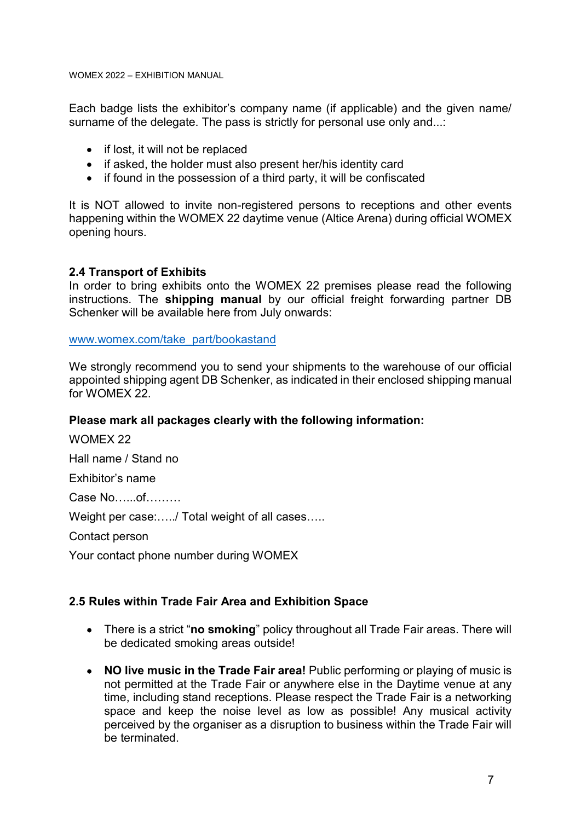Each badge lists the exhibitor's company name (if applicable) and the given name/ surname of the delegate. The pass is strictly for personal use only and...:

- if lost, it will not be replaced
- if asked, the holder must also present her/his identity card
- if found in the possession of a third party, it will be confiscated

It is NOT allowed to invite non-registered persons to receptions and other events happening within the WOMEX 22 daytime venue (Altice Arena) during official WOMEX opening hours.

#### 2.4 Transport of Exhibits

In order to bring exhibits onto the WOMEX 22 premises please read the following instructions. The shipping manual by our official freight forwarding partner DB Schenker will be available here from July onwards:

www.womex.com/take\_part/bookastand

We strongly recommend you to send your shipments to the warehouse of our official appointed shipping agent DB Schenker, as indicated in their enclosed shipping manual for WOMEX 22.

#### Please mark all packages clearly with the following information:

WOMEX 22

Hall name / Stand no

Exhibitor's name

Case No…...of………

Weight per case:...../ Total weight of all cases.....

Contact person

Your contact phone number during WOMEX

#### 2.5 Rules within Trade Fair Area and Exhibition Space

- There is a strict "no smoking" policy throughout all Trade Fair areas. There will be dedicated smoking areas outside!
- NO live music in the Trade Fair area! Public performing or playing of music is not permitted at the Trade Fair or anywhere else in the Daytime venue at any time, including stand receptions. Please respect the Trade Fair is a networking space and keep the noise level as low as possible! Any musical activity perceived by the organiser as a disruption to business within the Trade Fair will be terminated.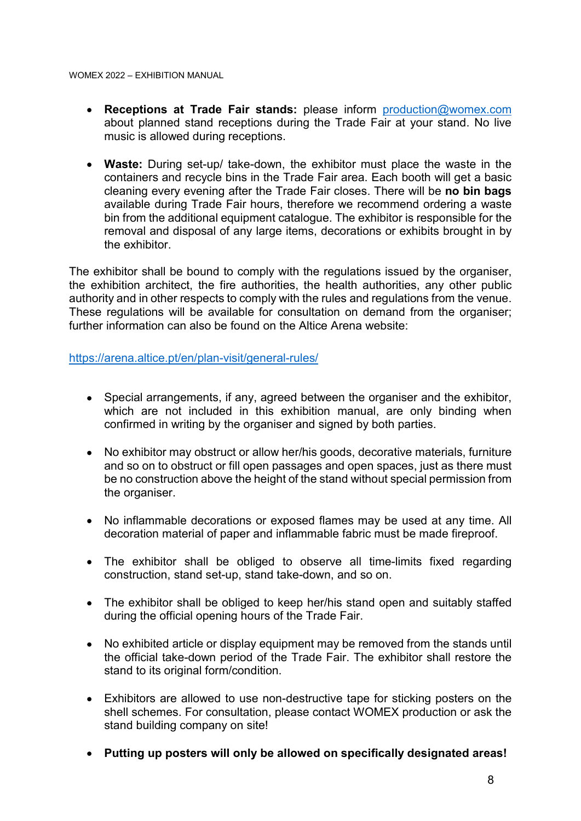- Receptions at Trade Fair stands: please inform production@womex.com about planned stand receptions during the Trade Fair at your stand. No live music is allowed during receptions.
- Waste: During set-up/ take-down, the exhibitor must place the waste in the containers and recycle bins in the Trade Fair area. Each booth will get a basic cleaning every evening after the Trade Fair closes. There will be no bin bags available during Trade Fair hours, therefore we recommend ordering a waste bin from the additional equipment catalogue. The exhibitor is responsible for the removal and disposal of any large items, decorations or exhibits brought in by the exhibitor.

The exhibitor shall be bound to comply with the regulations issued by the organiser, the exhibition architect, the fire authorities, the health authorities, any other public authority and in other respects to comply with the rules and regulations from the venue. These regulations will be available for consultation on demand from the organiser; further information can also be found on the Altice Arena website:

https://arena.altice.pt/en/plan-visit/general-rules/

- Special arrangements, if any, agreed between the organiser and the exhibitor, which are not included in this exhibition manual, are only binding when confirmed in writing by the organiser and signed by both parties.
- No exhibitor may obstruct or allow her/his goods, decorative materials, furniture and so on to obstruct or fill open passages and open spaces, just as there must be no construction above the height of the stand without special permission from the organiser.
- No inflammable decorations or exposed flames may be used at any time. All decoration material of paper and inflammable fabric must be made fireproof.
- The exhibitor shall be obliged to observe all time-limits fixed regarding construction, stand set-up, stand take-down, and so on.
- The exhibitor shall be obliged to keep her/his stand open and suitably staffed during the official opening hours of the Trade Fair.
- No exhibited article or display equipment may be removed from the stands until the official take-down period of the Trade Fair. The exhibitor shall restore the stand to its original form/condition.
- Exhibitors are allowed to use non-destructive tape for sticking posters on the shell schemes. For consultation, please contact WOMEX production or ask the stand building company on site!
- Putting up posters will only be allowed on specifically designated areas!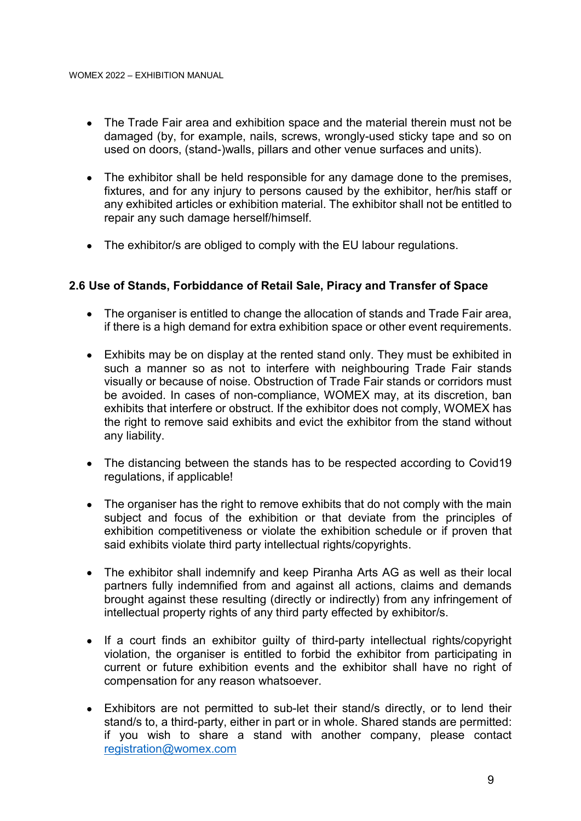- The Trade Fair area and exhibition space and the material therein must not be damaged (by, for example, nails, screws, wrongly-used sticky tape and so on used on doors, (stand-)walls, pillars and other venue surfaces and units).
- The exhibitor shall be held responsible for any damage done to the premises, fixtures, and for any injury to persons caused by the exhibitor, her/his staff or any exhibited articles or exhibition material. The exhibitor shall not be entitled to repair any such damage herself/himself.
- The exhibitor/s are obliged to comply with the EU labour regulations.

### 2.6 Use of Stands, Forbiddance of Retail Sale, Piracy and Transfer of Space

- The organiser is entitled to change the allocation of stands and Trade Fair area, if there is a high demand for extra exhibition space or other event requirements.
- Exhibits may be on display at the rented stand only. They must be exhibited in such a manner so as not to interfere with neighbouring Trade Fair stands visually or because of noise. Obstruction of Trade Fair stands or corridors must be avoided. In cases of non-compliance, WOMEX may, at its discretion, ban exhibits that interfere or obstruct. If the exhibitor does not comply, WOMEX has the right to remove said exhibits and evict the exhibitor from the stand without any liability.
- The distancing between the stands has to be respected according to Covid19 regulations, if applicable!
- The organiser has the right to remove exhibits that do not comply with the main subject and focus of the exhibition or that deviate from the principles of exhibition competitiveness or violate the exhibition schedule or if proven that said exhibits violate third party intellectual rights/copyrights.
- The exhibitor shall indemnify and keep Piranha Arts AG as well as their local partners fully indemnified from and against all actions, claims and demands brought against these resulting (directly or indirectly) from any infringement of intellectual property rights of any third party effected by exhibitor/s.
- If a court finds an exhibitor guilty of third-party intellectual rights/copyright violation, the organiser is entitled to forbid the exhibitor from participating in current or future exhibition events and the exhibitor shall have no right of compensation for any reason whatsoever.
- Exhibitors are not permitted to sub-let their stand/s directly, or to lend their stand/s to, a third-party, either in part or in whole. Shared stands are permitted: if you wish to share a stand with another company, please contact registration@womex.com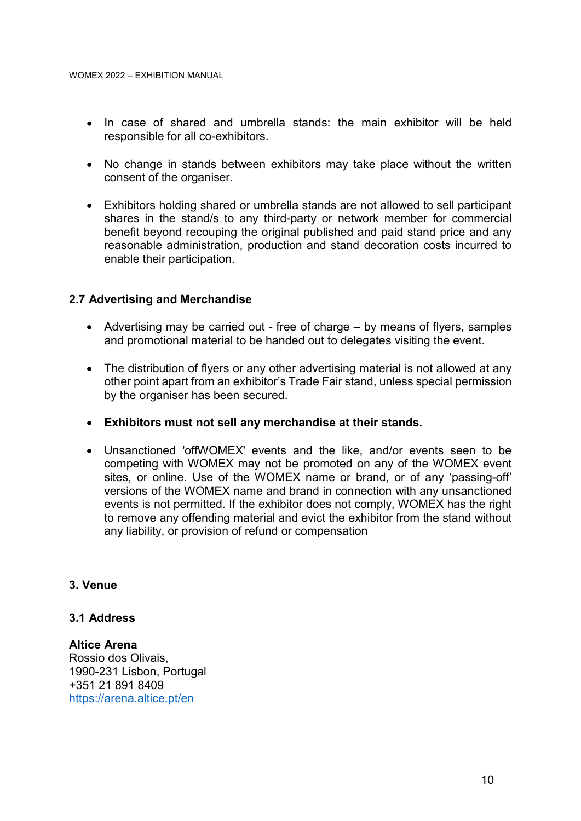- In case of shared and umbrella stands: the main exhibitor will be held responsible for all co-exhibitors.
- No change in stands between exhibitors may take place without the written consent of the organiser.
- Exhibitors holding shared or umbrella stands are not allowed to sell participant shares in the stand/s to any third-party or network member for commercial benefit beyond recouping the original published and paid stand price and any reasonable administration, production and stand decoration costs incurred to enable their participation.

#### 2.7 Advertising and Merchandise

- Advertising may be carried out free of charge by means of flyers, samples and promotional material to be handed out to delegates visiting the event.
- The distribution of flyers or any other advertising material is not allowed at any other point apart from an exhibitor's Trade Fair stand, unless special permission by the organiser has been secured.
- Exhibitors must not sell any merchandise at their stands.
- Unsanctioned 'offWOMEX' events and the like, and/or events seen to be competing with WOMEX may not be promoted on any of the WOMEX event sites, or online. Use of the WOMEX name or brand, or of any 'passing-off' versions of the WOMEX name and brand in connection with any unsanctioned events is not permitted. If the exhibitor does not comply, WOMEX has the right to remove any offending material and evict the exhibitor from the stand without any liability, or provision of refund or compensation

#### 3. Venue

### 3.1 Address

Altice Arena Rossio dos Olivais, 1990-231 Lisbon, Portugal +351 21 891 8409 https://arena.altice.pt/en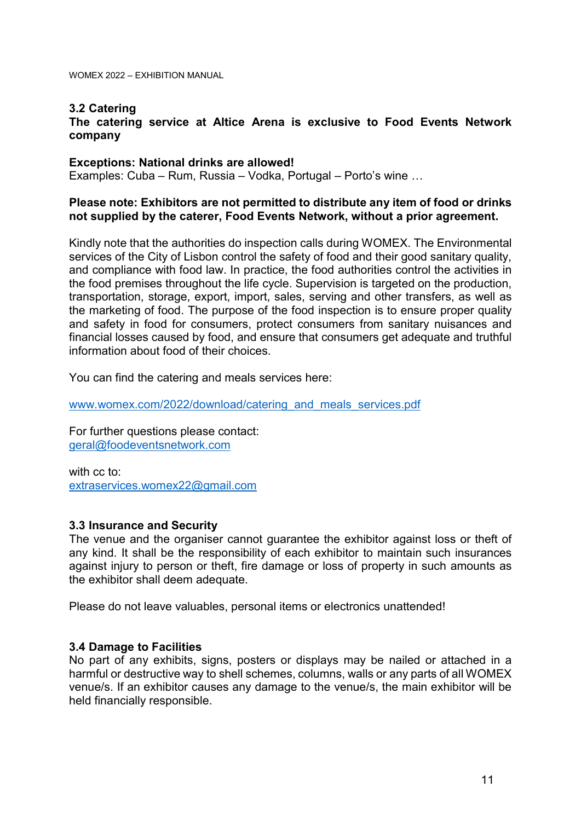### 3.2 Catering

The catering service at Altice Arena is exclusive to Food Events Network company

#### Exceptions: National drinks are allowed!

Examples: Cuba – Rum, Russia – Vodka, Portugal – Porto's wine …

#### Please note: Exhibitors are not permitted to distribute any item of food or drinks not supplied by the caterer, Food Events Network, without a prior agreement.

Kindly note that the authorities do inspection calls during WOMEX. The Environmental services of the City of Lisbon control the safety of food and their good sanitary quality, and compliance with food law. In practice, the food authorities control the activities in the food premises throughout the life cycle. Supervision is targeted on the production, transportation, storage, export, import, sales, serving and other transfers, as well as the marketing of food. The purpose of the food inspection is to ensure proper quality and safety in food for consumers, protect consumers from sanitary nuisances and financial losses caused by food, and ensure that consumers get adequate and truthful information about food of their choices.

You can find the catering and meals services here:

www.womex.com/2022/download/catering\_and\_meals\_services.pdf

For further questions please contact: geral@foodeventsnetwork.com

with cc to: extraservices.womex22@gmail.com

#### 3.3 Insurance and Security

The venue and the organiser cannot guarantee the exhibitor against loss or theft of any kind. It shall be the responsibility of each exhibitor to maintain such insurances against injury to person or theft, fire damage or loss of property in such amounts as the exhibitor shall deem adequate.

Please do not leave valuables, personal items or electronics unattended!

#### 3.4 Damage to Facilities

No part of any exhibits, signs, posters or displays may be nailed or attached in a harmful or destructive way to shell schemes, columns, walls or any parts of all WOMEX venue/s. If an exhibitor causes any damage to the venue/s, the main exhibitor will be held financially responsible.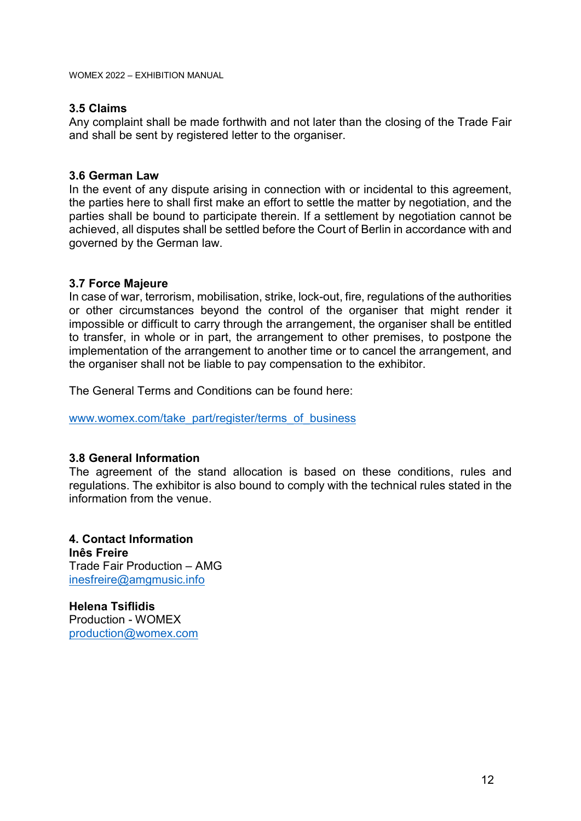### 3.5 Claims

Any complaint shall be made forthwith and not later than the closing of the Trade Fair and shall be sent by registered letter to the organiser.

### 3.6 German Law

In the event of any dispute arising in connection with or incidental to this agreement, the parties here to shall first make an effort to settle the matter by negotiation, and the parties shall be bound to participate therein. If a settlement by negotiation cannot be achieved, all disputes shall be settled before the Court of Berlin in accordance with and governed by the German law.

### 3.7 Force Majeure

In case of war, terrorism, mobilisation, strike, lock-out, fire, regulations of the authorities or other circumstances beyond the control of the organiser that might render it impossible or difficult to carry through the arrangement, the organiser shall be entitled to transfer, in whole or in part, the arrangement to other premises, to postpone the implementation of the arrangement to another time or to cancel the arrangement, and the organiser shall not be liable to pay compensation to the exhibitor.

The General Terms and Conditions can be found here:

www.womex.com/take\_part/register/terms\_of\_business

### 3.8 General Information

The agreement of the stand allocation is based on these conditions, rules and regulations. The exhibitor is also bound to comply with the technical rules stated in the information from the venue.

4. Contact Information Inês Freire Trade Fair Production – AMG inesfreire@amgmusic.info

Helena Tsiflidis Production - WOMEX production@womex.com